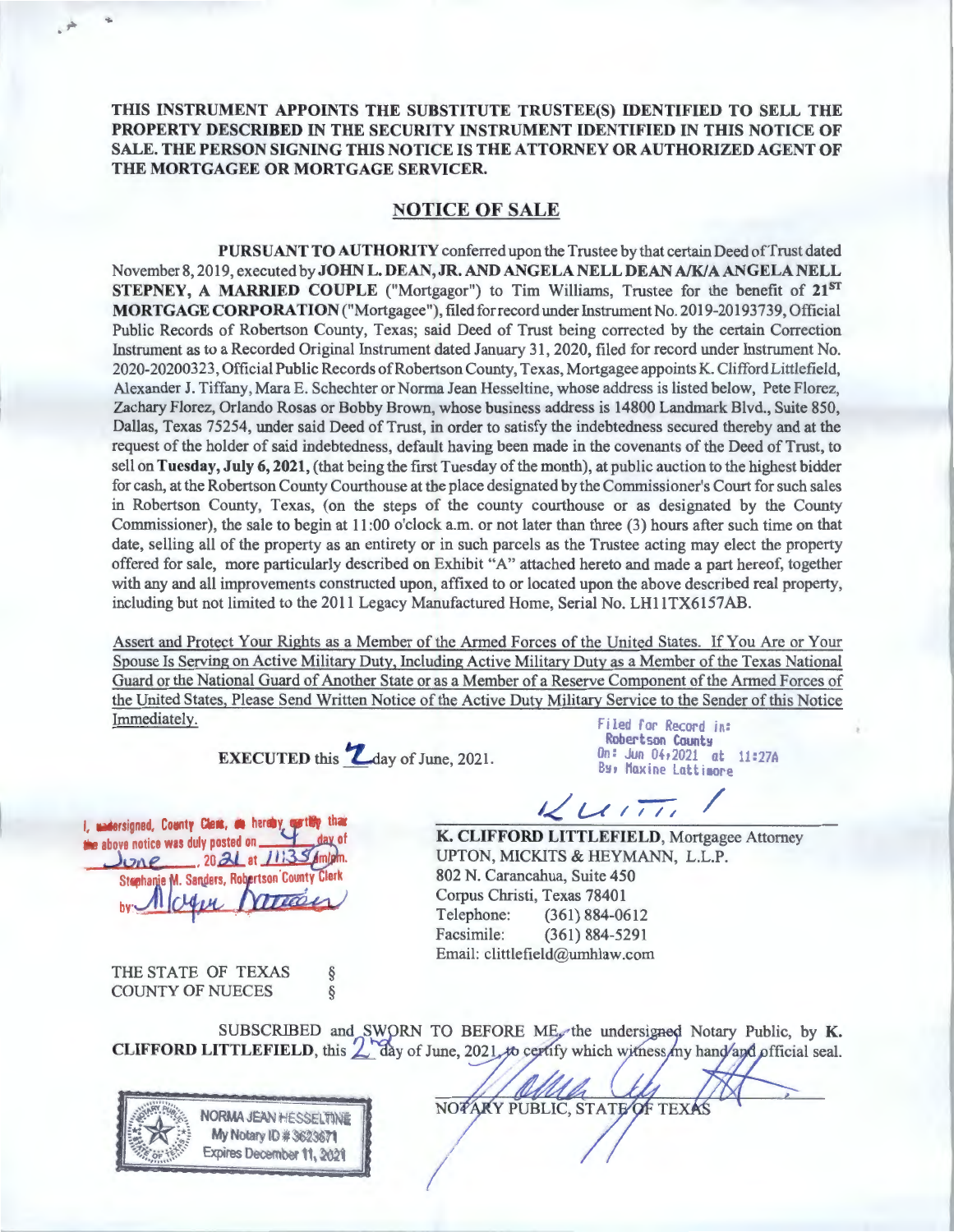**THIS INSTRUMENT APPOINTS THE SUBSTITUTE TRUSTEE(S) IDENTIFIED TO SELL THE PROPERTY DESCRIBED IN THE SECURITY INSTRUMENT IDENTIFIED IN THIS NOTICE OF SALE. THE PERSON SIGNING THIS NOTICE IS THE ATTORNEY OR AUTHORIZED AGENT OF THE MORTGAGEE OR MORTGAGE SERVICER.** 

## **NOTICE OF SALE**

**PURSUANT TO AUTHORITY** conferred upon the Trustee by that certain Deed ofTrust dated November 8, 2019, executed by **JOHN L. DEAN, JR. AND ANGELA NELL DEAN** *A/Kl* **A ANGELA NELL STEPNEY, A MARRIED COUPLE** ("Mortgagor") to Tim Williams, Trustee for the benefit of **21ST MORTGAGE CORPORATION** ("Mortgagee"), filed forrecord under Instrument No. 2019-20193739, Official Public Records of Robertson County, Texas; said Deed of Trust being corrected by the certain Correction Instrument as to a Recorded Original Instrument dated January 31 , 2020, filed for record under Instrument No. 2020-20200323, Official Public Records of Robertson County, Texas, Mortgagee appoints K. Clifford Littlefield, Alexander J. Tiffany, Mara E. Schechter or Norma Jean Hesseltine, whose address is listed below, Pete Florez, Zachary Florez, Orlando Rosas or Bobby Brown, whose business address is 14800 Landmark Blvd., Suite 850, Dallas, Texas 75254, under said Deed of Trust, in order to satisfy the indebtedness secured thereby and at the request of the holder of said indebtedness, default having been made in the covenants of the Deed of Trust, to sell on **Tuesday, July 6, 2021,** (that being the first Tuesday of the month), at public auction to the highest bidder for cash, at the Robertson County Courthouse at the place designated by the Commissioner's Court for such sales in Robertson County, Texas, (on the steps of the county courthouse or as designated by the County Commissioner), the sale to begin at 11 :00 o'clock a.m. or not later than three (3) hours after such time on that date, selling all of the property as an entirety or in such parcels as the Trustee acting may elect the property offered for sale, more particularly described on Exhibit "A" attached hereto and made a part hereof, together with any and all improvements constructed upon, affixed to or located upon the above described real property, including but not limited to the 2011 Legacy Manufactured Home, Serial No. LH11TX6157AB.

Assert and Protect Your Rights as a Member of the Armed Forces of the United States. If You Are or Your Spouse Is Serving on Active Military Duty, Including Active Military Duty as a Member of the Texas National Guard or the National Guard of Another State or as a Member of a Reserve Component of the Armed Forces of the United States, Please Send Written Notice of the Active Duty Military Service to the Sender of this Notice **Immediately.** Filed for Record in:

**EXECUTED** this **L**day of June, 2021.

Robertson County<br>On: Jun 04,2021 at 11:27A By, Maxine Lattimore

*1-<!' U* 1;-;-; /

**K. CLIFFORD LITTLEFIELD,** Mortgagee Attorney UPTON, MICKITS & HEYMANN, L.L.P. 802 N. Carancahua, Suite 450 Corpus Christi, Texas 78401 Telephone: (361) 884-0612 Facsimile: (361) 884-5291 Email: clittlefield@urnhlaw.com

I, undersigned, County Clerk, as hereby earthly than

**Stephanie M. Sanders, Robertson County** 

 $-20.21$  at  $113$ 

the above notice was duly posted on.

 $long$ 

THE STATE OF TEXAS § COUNTY OF NUECES §

SUBSCRIBED and SWORN TO BEFORE ME, the undersigned Notary Public, by K. CLIFFORD LITTLEFIELD, this 2 day of June, 2021 to certify which witness my hand and official seal.

NORMA JEAN HESSELTINE **My Notary ID # 3623671** Expires December 11, 2021

NOTARY PUBLIC, STATE OF TEXAS